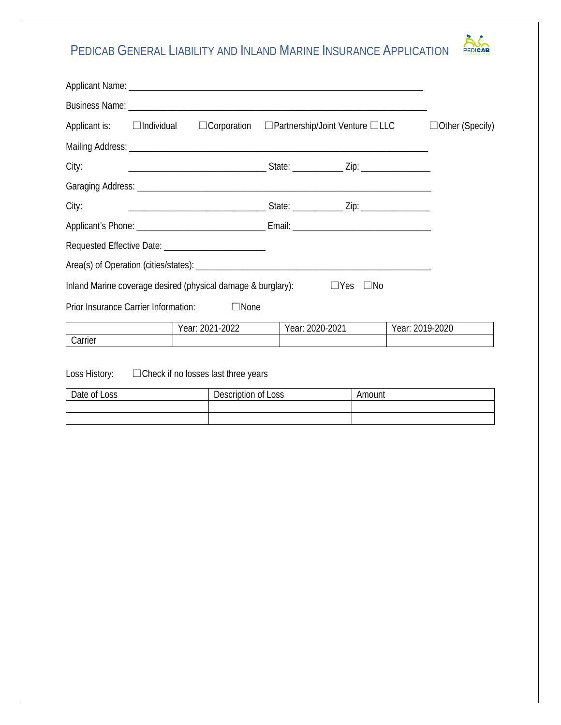## PEDICAB GENERAL LIABILITY AND INLAND MARINE INSURANCE APPLICATION



| Applicant is: □ Individual □ Corporation □ Partnership/Joint Venture □ LLC |                 |                 |              |                 | $\Box$ Other (Specify) |
|----------------------------------------------------------------------------|-----------------|-----------------|--------------|-----------------|------------------------|
|                                                                            |                 |                 |              |                 |                        |
| City:                                                                      |                 |                 |              |                 |                        |
|                                                                            |                 |                 |              |                 |                        |
| City:                                                                      |                 |                 |              |                 |                        |
|                                                                            |                 |                 |              |                 |                        |
|                                                                            |                 |                 |              |                 |                        |
|                                                                            |                 |                 |              |                 |                        |
| Inland Marine coverage desired (physical damage & burglary): $\square$ Yes |                 |                 | $\square$ No |                 |                        |
| Prior Insurance Carrier Information:                                       | $\Box$ None     |                 |              |                 |                        |
|                                                                            | Year: 2021-2022 | Year: 2020-2021 |              | Year: 2019-2020 |                        |
| Carrier                                                                    |                 |                 |              |                 |                        |

Loss History: ☐Check if no losses last three years

| Date of Loss | Description of Loss | Amount |
|--------------|---------------------|--------|
|              |                     |        |
|              |                     |        |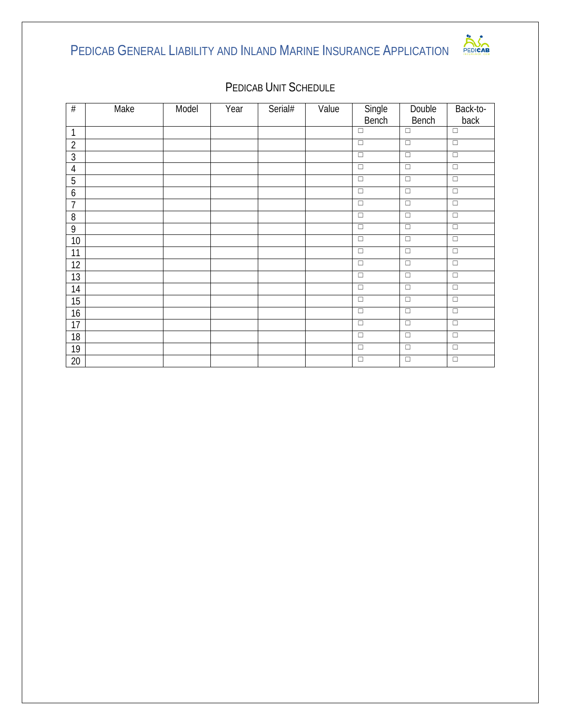## PEDICAB GENERAL LIABILITY AND INLAND MARINE INSURANCE APPLICATION



| $\#$           | Make | Model | Year | Serial# | Value | Single | Double               | Back-to-             |
|----------------|------|-------|------|---------|-------|--------|----------------------|----------------------|
|                |      |       |      |         |       | Bench  | Bench                | back                 |
| $\mathbf 1$    |      |       |      |         |       | $\Box$ | $\Box$               | $\Box$               |
| $\overline{2}$ |      |       |      |         |       | $\Box$ | $\Box$               | $\overline{\square}$ |
| 3              |      |       |      |         |       | $\Box$ | $\Box$               | $\Box$               |
| $\overline{4}$ |      |       |      |         |       | $\Box$ | $\overline{\square}$ | $\overline{\square}$ |
| 5              |      |       |      |         |       | $\Box$ | $\Box$               | $\Box$               |
| 6              |      |       |      |         |       | $\Box$ | $\Box$               | $\Box$               |
| $\overline{7}$ |      |       |      |         |       | $\Box$ | $\Box$               | $\Box$               |
| 8              |      |       |      |         |       | $\Box$ | $\overline{\square}$ | $\overline{\square}$ |
| 9              |      |       |      |         |       | $\Box$ | $\Box$               | $\Box$               |
| 10             |      |       |      |         |       | $\Box$ | $\Box$               | $\Box$               |
| 11             |      |       |      |         |       | $\Box$ | $\Box$               | $\overline{\square}$ |
| 12             |      |       |      |         |       | $\Box$ | $\Box$               | $\Box$               |
| 13             |      |       |      |         |       | $\Box$ | $\Box$               | $\Box$               |
| 14             |      |       |      |         |       | $\Box$ | $\Box$               | $\Box$               |
| 15             |      |       |      |         |       | $\Box$ | $\Box$               | $\Box$               |
| 16             |      |       |      |         |       | $\Box$ | $\Box$               | $\Box$               |
| 17             |      |       |      |         |       | $\Box$ | $\Box$               | $\Box$               |
| 18             |      |       |      |         |       | $\Box$ | $\Box$               | $\Box$               |
| 19             |      |       |      |         |       | $\Box$ | $\Box$               | $\Box$               |
| $20\,$         |      |       |      |         |       | $\Box$ | $\Box$               | $\Box$               |

## PEDICAB UNIT SCHEDULE